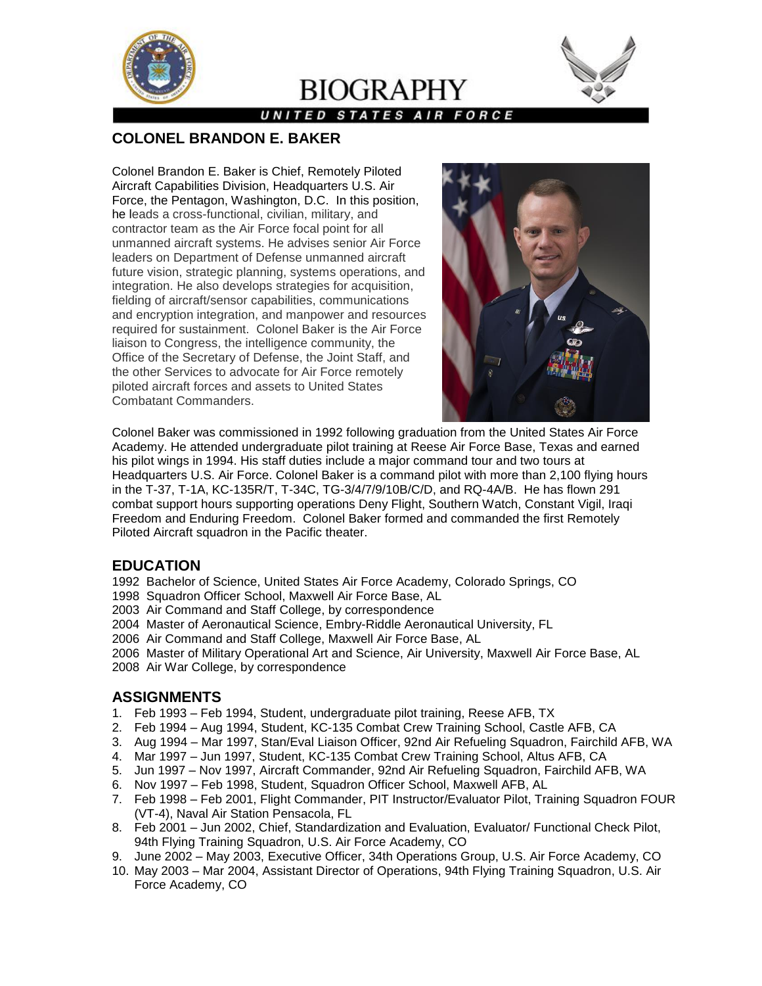

# **BIOGRAPHY**



### **UNITED STATES AIR FORCE**

# **COLONEL BRANDON E. BAKER**

Colonel Brandon E. Baker is Chief, Remotely Piloted Aircraft Capabilities Division, Headquarters U.S. Air Force, the Pentagon, Washington, D.C. In this position, he leads a cross-functional, civilian, military, and contractor team as the Air Force focal point for all unmanned aircraft systems. He advises senior Air Force leaders on Department of Defense unmanned aircraft future vision, strategic planning, systems operations, and integration. He also develops strategies for acquisition, fielding of aircraft/sensor capabilities, communications and encryption integration, and manpower and resources required for sustainment. Colonel Baker is the Air Force liaison to Congress, the intelligence community, the Office of the Secretary of Defense, the Joint Staff, and the other Services to advocate for Air Force remotely piloted aircraft forces and assets to United States Combatant Commanders.



Colonel Baker was commissioned in 1992 following graduation from the United States Air Force Academy. He attended undergraduate pilot training at Reese Air Force Base, Texas and earned his pilot wings in 1994. His staff duties include a major command tour and two tours at Headquarters U.S. Air Force. Colonel Baker is a command pilot with more than 2,100 flying hours in the T-37, T-1A, KC-135R/T, T-34C, TG-3/4/7/9/10B/C/D, and RQ-4A/B. He has flown 291 combat support hours supporting operations Deny Flight, Southern Watch, Constant Vigil, Iraqi Freedom and Enduring Freedom. Colonel Baker formed and commanded the first Remotely Piloted Aircraft squadron in the Pacific theater.

# **EDUCATION**

1992 Bachelor of Science, United States Air Force Academy, Colorado Springs, CO

1998 Squadron Officer School, Maxwell Air Force Base, AL

2003 Air Command and Staff College, by correspondence

2004 Master of Aeronautical Science, Embry-Riddle Aeronautical University, FL

2006 Air Command and Staff College, Maxwell Air Force Base, AL

2006 Master of Military Operational Art and Science, Air University, Maxwell Air Force Base, AL

2008 Air War College, by correspondence

# **ASSIGNMENTS**

- 1. Feb 1993 Feb 1994, Student, undergraduate pilot training, Reese AFB, TX
- 2. Feb 1994 Aug 1994, Student, KC-135 Combat Crew Training School, Castle AFB, CA
- 3. Aug 1994 Mar 1997, Stan/Eval Liaison Officer, 92nd Air Refueling Squadron, Fairchild AFB, WA
- 4. Mar 1997 Jun 1997, Student, KC-135 Combat Crew Training School, Altus AFB, CA
- 5. Jun 1997 Nov 1997, Aircraft Commander, 92nd Air Refueling Squadron, Fairchild AFB, WA
- 6. Nov 1997 Feb 1998, Student, Squadron Officer School, Maxwell AFB, AL
- 7. Feb 1998 Feb 2001, Flight Commander, PIT Instructor/Evaluator Pilot, Training Squadron FOUR (VT-4), Naval Air Station Pensacola, FL
- 8. Feb 2001 Jun 2002, Chief, Standardization and Evaluation, Evaluator/ Functional Check Pilot, 94th Flying Training Squadron, U.S. Air Force Academy, CO
- 9. June 2002 May 2003, Executive Officer, 34th Operations Group, U.S. Air Force Academy, CO
- 10. May 2003 Mar 2004, Assistant Director of Operations, 94th Flying Training Squadron, U.S. Air Force Academy, CO